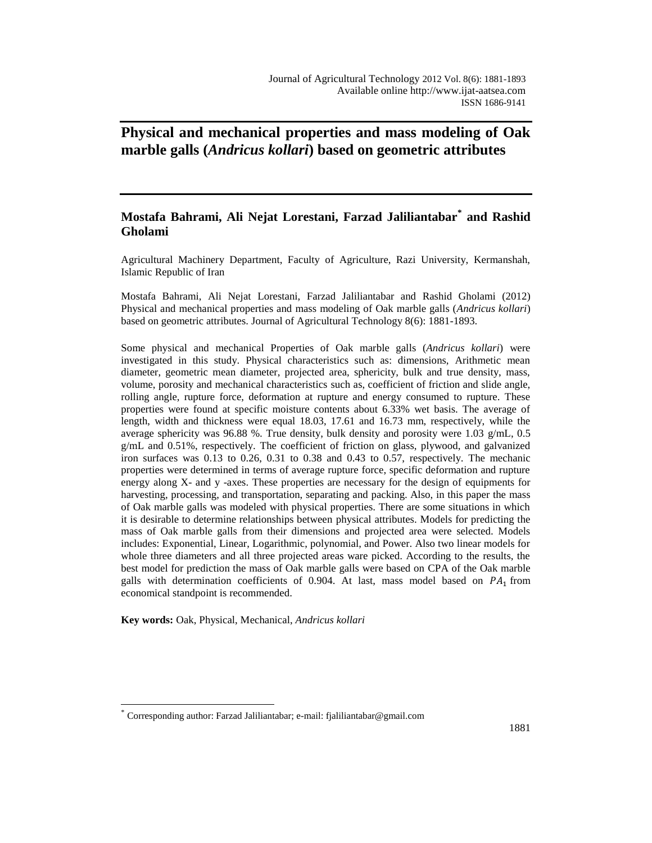# **Physical and mechanical properties and mass modeling of Oak marble galls (***Andricus kollari***) based on geometric attributes**

## **Mostafa Bahrami, Ali Nejat Lorestani, Farzad Jaliliantabar\* and Rashid Gholami**

Agricultural Machinery Department, Faculty of Agriculture, Razi University, Kermanshah, Islamic Republic of Iran

Mostafa Bahrami, Ali Nejat Lorestani, Farzad Jaliliantabar and Rashid Gholami (2012) Physical and mechanical properties and mass modeling of Oak marble galls (*Andricus kollari*) based on geometric attributes. Journal of Agricultural Technology 8(6): 1881-1893.

Some physical and mechanical Properties of Oak marble galls (*Andricus kollari*) were investigated in this study. Physical characteristics such as: dimensions, Arithmetic mean diameter, geometric mean diameter, projected area, sphericity, bulk and true density, mass, volume, porosity and mechanical characteristics such as, coefficient of friction and slide angle, rolling angle, rupture force, deformation at rupture and energy consumed to rupture. These properties were found at specific moisture contents about 6.33% wet basis. The average of length, width and thickness were equal 18.03, 17.61 and 16.73 mm, respectively, while the average sphericity was 96.88 %*.* True density, bulk density and porosity were 1.03 g/mL, 0.5 g/mL and 0.51%, respectively. The coefficient of friction on glass, plywood, and galvanized iron surfaces was 0.13 to 0.26, 0.31 to 0.38 and 0.43 to 0.57, respectively. The mechanic properties were determined in terms of average rupture force, specific deformation and rupture energy along X- and y -axes. These properties are necessary for the design of equipments for harvesting, processing, and transportation, separating and packing. Also, in this paper the mass of Oak marble galls was modeled with physical properties. There are some situations in which it is desirable to determine relationships between physical attributes. Models for predicting the mass of Oak marble galls from their dimensions and projected area were selected. Models includes: Exponential, Linear, Logarithmic, polynomial, and Power. Also two linear models for whole three diameters and all three projected areas ware picked. According to the results, the best model for prediction the mass of Oak marble galls were based on CPA of the Oak marble galls with determination coefficients of 0.904. At last, mass model based on  $PA_1$  from economical standpoint is recommended.

**Key words:** Oak, Physical, Mechanical, *Andricus kollari*

 $\overline{a}$ 

<sup>\*</sup> Corresponding author: Farzad Jaliliantabar; e-mail: fjaliliantabar@gmail.com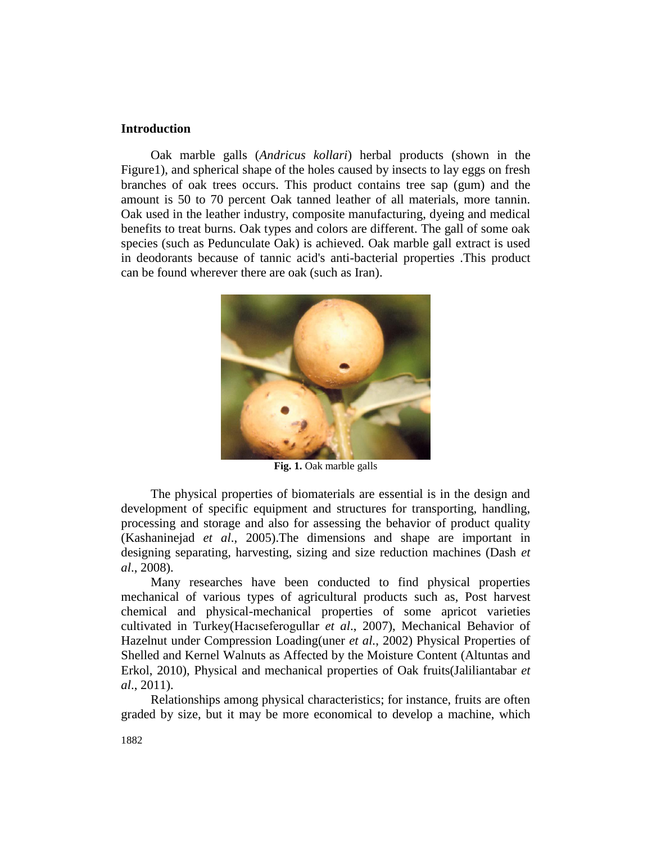## **Introduction**

Oak marble galls (*Andricus kollari*) herbal products (shown in the Figure1), and spherical shape of the holes caused by insects to lay eggs on fresh branches of oak trees occurs. This product contains tree sap (gum) and the amount is 50 to 70 percent Oak tanned leather of all materials, more tannin. Oak used in the leather industry, composite manufacturing, dyeing and medical benefits to treat burns. Oak types and colors are different. The gall of some oak species (such as Pedunculate Oak) is achieved. Oak marble gall extract is used in deodorants because of tannic acid's anti-bacterial properties .This product can be found wherever there are oak (such as Iran).



**Fig. 1.** Oak marble galls

The physical properties of biomaterials are essential is in the design and development of specific equipment and structures for transporting, handling, processing and storage and also for assessing the behavior of product quality (Kashaninejad *et al*., 2005).The dimensions and shape are important in designing separating, harvesting, sizing and size reduction machines (Dash *et al*., 2008).

Many researches have been conducted to find physical properties mechanical of various types of agricultural products such as, Post harvest chemical and physical-mechanical properties of some apricot varieties cultivated in Turkey(Hacıseferogullar *et al*., 2007), Mechanical Behavior of Hazelnut under Compression Loading(uner *et al.*, 2002) Physical Properties of Shelled and Kernel Walnuts as Affected by the Moisture Content (Altuntas and Erkol, 2010), Physical and mechanical properties of Oak fruits(Jaliliantabar *et al*., 2011).

Relationships among physical characteristics; for instance, fruits are often graded by size, but it may be more economical to develop a machine, which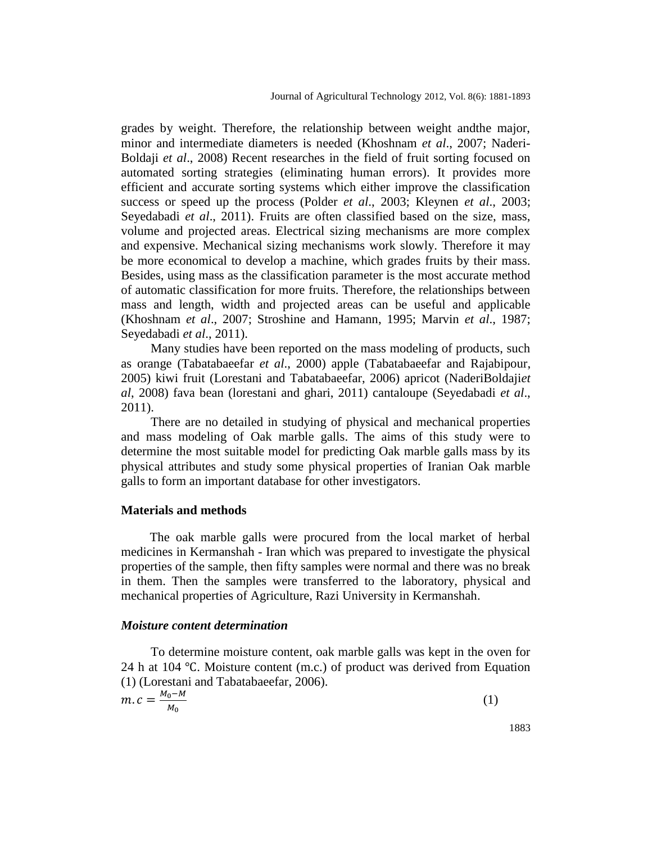grades by weight. Therefore, the relationship between weight andthe major, minor and intermediate diameters is needed (Khoshnam *et al*., 2007; Naderi-Boldaji *et al*., 2008) Recent researches in the field of fruit sorting focused on automated sorting strategies (eliminating human errors). It provides more efficient and accurate sorting systems which either improve the classification success or speed up the process (Polder *et al*., 2003; Kleynen *et al*., 2003; Seyedabadi *et al*., 2011). Fruits are often classified based on the size, mass, volume and projected areas. Electrical sizing mechanisms are more complex and expensive. Mechanical sizing mechanisms work slowly. Therefore it may be more economical to develop a machine, which grades fruits by their mass. Besides, using mass as the classification parameter is the most accurate method of automatic classification for more fruits. Therefore, the relationships between mass and length, width and projected areas can be useful and applicable (Khoshnam *et al*., 2007; Stroshine and Hamann, 1995; Marvin *et al*., 1987; Seyedabadi *et al*., 2011).

Many studies have been reported on the mass modeling of products, such as orange (Tabatabaeefar *et al*., 2000) apple (Tabatabaeefar and Rajabipour, 2005) kiwi fruit (Lorestani and Tabatabaeefar, 2006) apricot (NaderiBoldaji*et al*, 2008) fava bean (lorestani and ghari, 2011) cantaloupe (Seyedabadi *et al*., 2011).

There are no detailed in studying of physical and mechanical properties and mass modeling of Oak marble galls. The aims of this study were to determine the most suitable model for predicting Oak marble galls mass by its physical attributes and study some physical properties of Iranian Oak marble galls to form an important database for other investigators.

#### **Materials and methods**

The oak marble galls were procured from the local market of herbal medicines in Kermanshah - Iran which was prepared to investigate the physical properties of the sample, then fifty samples were normal and there was no break in them. Then the samples were transferred to the laboratory, physical and mechanical properties of Agriculture, Razi University in Kermanshah.

## *Moisture content determination*

To determine moisture content, oak marble galls was kept in the oven for 24 h at 104 ℃. Moisture content (m.c.) of product was derived from Equation (1) (Lorestani and Tabatabaeefar, 2006).  $M_{\odot} - M$ 

$$
m.c = \frac{m_0 - m}{M_0} \tag{1}
$$

1883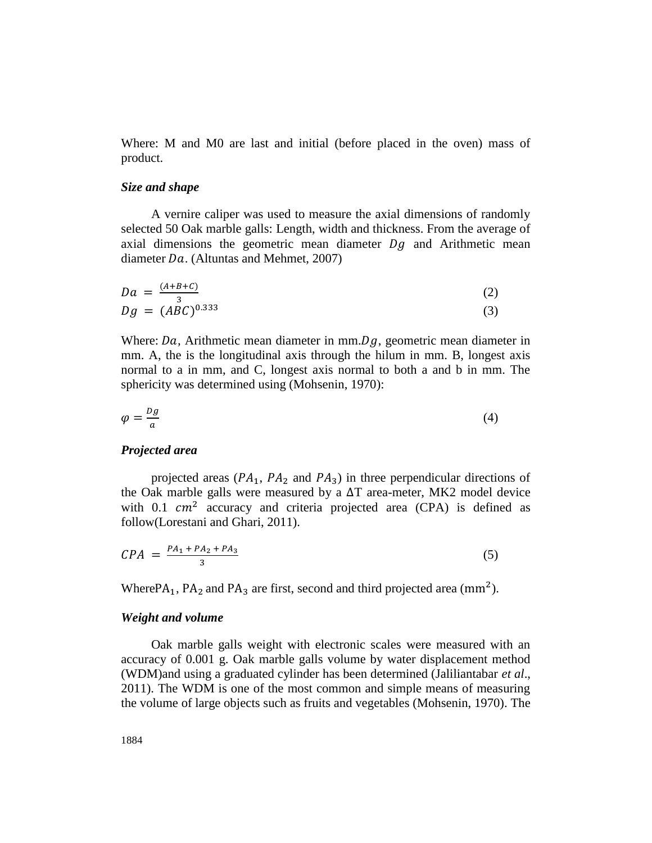Where: M and M0 are last and initial (before placed in the oven) mass of product.

#### *Size and shape*

A vernire caliper was used to measure the axial dimensions of randomly selected 50 Oak marble galls: Length, width and thickness. From the average of axial dimensions the geometric mean diameter  $Dg$  and Arithmetic mean diameter  $Da$ . (Altuntas and Mehmet, 2007)

$$
Da = \frac{(A+B+C)}{3} Dg = (ABC)^{0.333}
$$
 (2)

Where:  $Da$ , Arithmetic mean diameter in mm.  $Dg$ , geometric mean diameter in mm. A, the is the longitudinal axis through the hilum in mm. B, longest axis normal to a in mm, and C, longest axis normal to both a and b in mm. The sphericity was determined using (Mohsenin, 1970):

$$
\varphi = \frac{Dg}{a} \tag{4}
$$

#### *Projected area*

projected areas ( $PA_1$ ,  $PA_2$  and  $PA_3$ ) in three perpendicular directions of the Oak marble galls were measured by a  $\Delta T$  area-meter, MK2 model device with 0.1  $cm<sup>2</sup>$  accuracy and criteria projected area (CPA) is defined as follow(Lorestani and Ghari, 2011).

$$
CPA = \frac{PA_1 + PA_2 + PA_3}{3} \tag{5}
$$

Where  $PA_1$ ,  $PA_2$  and  $PA_3$  are first, second and third projected area (mm<sup>2</sup>).

## *Weight and volume*

Oak marble galls weight with electronic scales were measured with an accuracy of 0.001 g. Oak marble galls volume by water displacement method (WDM)and using a graduated cylinder has been determined (Jaliliantabar *et al*., 2011). The WDM is one of the most common and simple means of measuring the volume of large objects such as fruits and vegetables (Mohsenin, 1970). The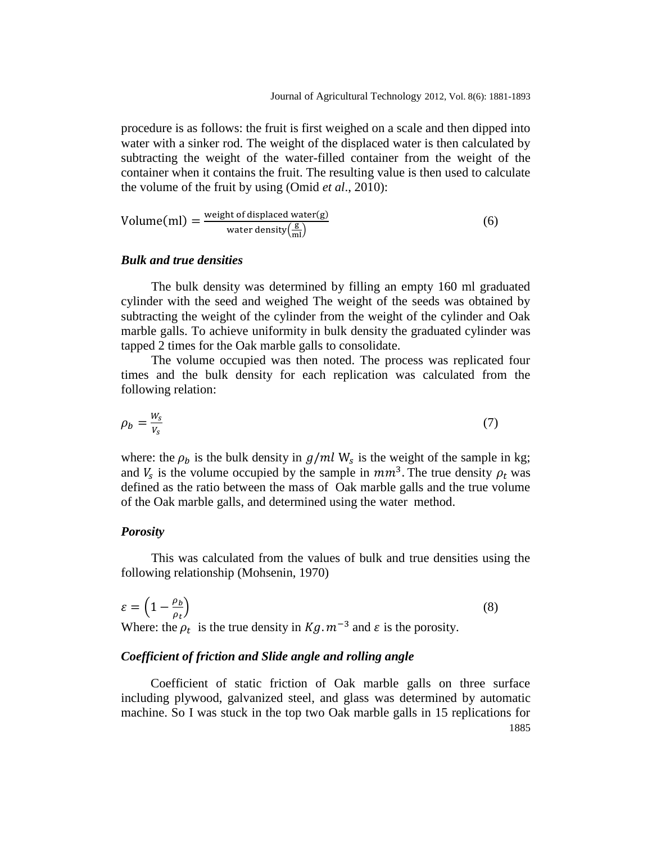procedure is as follows: the fruit is first weighed on a scale and then dipped into water with a sinker rod. The weight of the displaced water is then calculated by subtracting the weight of the water-filled container from the weight of the container when it contains the fruit. The resulting value is then used to calculate the volume of the fruit by using (Omid *et al*., 2010):

Volume(ml) = 
$$
\frac{\text{weight of displaced water(g)}}{\text{water density}\left(\frac{g}{m}\right)}
$$
 (6)

## *Bulk and true densities*

The bulk density was determined by filling an empty 160 ml graduated cylinder with the seed and weighed The weight of the seeds was obtained by subtracting the weight of the cylinder from the weight of the cylinder and Oak marble galls. To achieve uniformity in bulk density the graduated cylinder was tapped 2 times for the Oak marble galls to consolidate.

The volume occupied was then noted. The process was replicated four times and the bulk density for each replication was calculated from the following relation:

$$
\rho_b = \frac{W_s}{V_s} \tag{7}
$$

where: the  $\rho_b$  is the bulk density in  $g/ml$  W<sub>s</sub> is the weight of the sample in kg; and  $V_s$  is the volume occupied by the sample in  $mm^3$ . The true density  $\rho_t$  was defined as the ratio between the mass of Oak marble galls and the true volume of the Oak marble galls, and determined using the water method.

#### *Porosity*

This was calculated from the values of bulk and true densities using the following relationship (Mohsenin, 1970)

$$
\varepsilon = \left(1 - \frac{\rho_b}{\rho_t}\right) \tag{8}
$$

Where: the  $\rho_t$  is the true density in  $Kg$ .  $m^{-3}$  and  $\varepsilon$  is the porosity.

## *Coefficient of friction and Slide angle and rolling angle*

1885 Coefficient of static friction of Oak marble galls on three surface including plywood, galvanized steel, and glass was determined by automatic machine. So I was stuck in the top two Oak marble galls in 15 replications for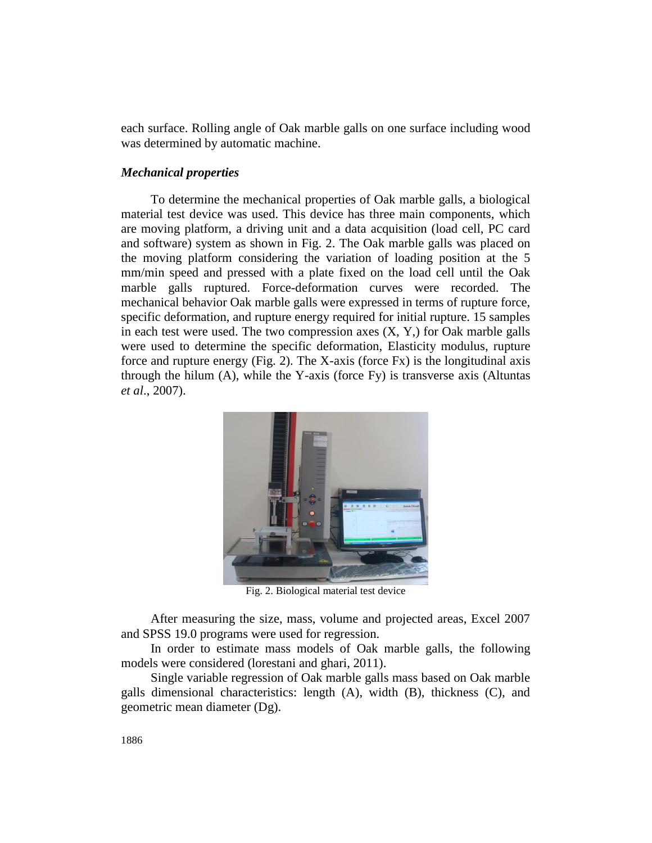each surface. Rolling angle of Oak marble galls on one surface including wood was determined by automatic machine.

## *Mechanical properties*

To determine the mechanical properties of Oak marble galls, a biological material test device was used. This device has three main components, which are moving platform, a driving unit and a data acquisition (load cell, PC card and software) system as shown in Fig. 2. The Oak marble galls was placed on the moving platform considering the variation of loading position at the 5 mm/min speed and pressed with a plate fixed on the load cell until the Oak marble galls ruptured. Force-deformation curves were recorded. The mechanical behavior Oak marble galls were expressed in terms of rupture force, specific deformation, and rupture energy required for initial rupture. 15 samples in each test were used. The two compression axes  $(X, Y)$  for Oak marble galls were used to determine the specific deformation, Elasticity modulus, rupture force and rupture energy (Fig. 2). The X-axis (force Fx) is the longitudinal axis through the hilum (A), while the Y-axis (force Fy) is transverse axis (Altuntas *et al*., 2007).



Fig. 2. Biological material test device

After measuring the size, mass, volume and projected areas, Excel 2007 and SPSS 19.0 programs were used for regression.

In order to estimate mass models of Oak marble galls, the following models were considered (lorestani and ghari, 2011).

Single variable regression of Oak marble galls mass based on Oak marble galls dimensional characteristics: length (A), width (B), thickness (C), and geometric mean diameter (Dg).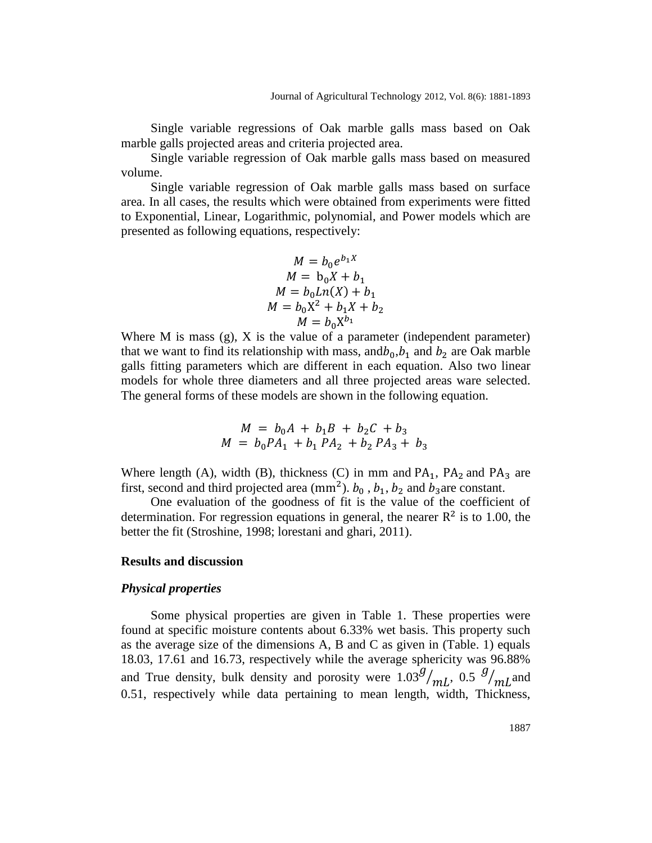Single variable regressions of Oak marble galls mass based on Oak marble galls projected areas and criteria projected area.

Single variable regression of Oak marble galls mass based on measured volume.

Single variable regression of Oak marble galls mass based on surface area. In all cases, the results which were obtained from experiments were fitted to Exponential, Linear, Logarithmic, polynomial, and Power models which are presented as following equations, respectively:

$$
M = b_0 e^{b_1 X}
$$
  
\n
$$
M = b_0 X + b_1
$$
  
\n
$$
M = b_0 L n(X) + b_1
$$
  
\n
$$
M = b_0 X^2 + b_1 X + b_2
$$
  
\n
$$
M = b_0 X^{b_1}
$$

Where M is mass  $(g)$ , X is the value of a parameter (independent parameter) that we want to find its relationship with mass, and  $b_0$ ,  $b_1$  and  $b_2$  are Oak marble galls fitting parameters which are different in each equation. Also two linear models for whole three diameters and all three projected areas ware selected. The general forms of these models are shown in the following equation.

$$
M = b_0A + b_1B + b_2C + b_3
$$
  

$$
M = b_0PA_1 + b_1PA_2 + b_2PA_3 + b_3
$$

Where length (A), width (B), thickness (C) in mm and  $PA_1$ ,  $PA_2$  and  $PA_3$  are first, second and third projected area (mm<sup>2</sup>).  $b_0$ ,  $b_1$ ,  $b_2$  and  $b_3$ are constant.

One evaluation of the goodness of fit is the value of the coefficient of determination. For regression equations in general, the nearer  $R^2$  is to 1.00, the better the fit (Stroshine, 1998; lorestani and ghari, 2011).

#### **Results and discussion**

## *Physical properties*

Some physical properties are given in Table 1. These properties were found at specific moisture contents about 6.33% wet basis. This property such as the average size of the dimensions A, B and C as given in (Table. 1) equals 18.03, 17.61 and 16.73, respectively while the average sphericity was 96.88% and True density, bulk density and porosity were  $1.03 \frac{g}{mL}$ , 0.5  $\frac{g}{mL}$  and 0.51, respectively while data pertaining to mean length, width, Thickness,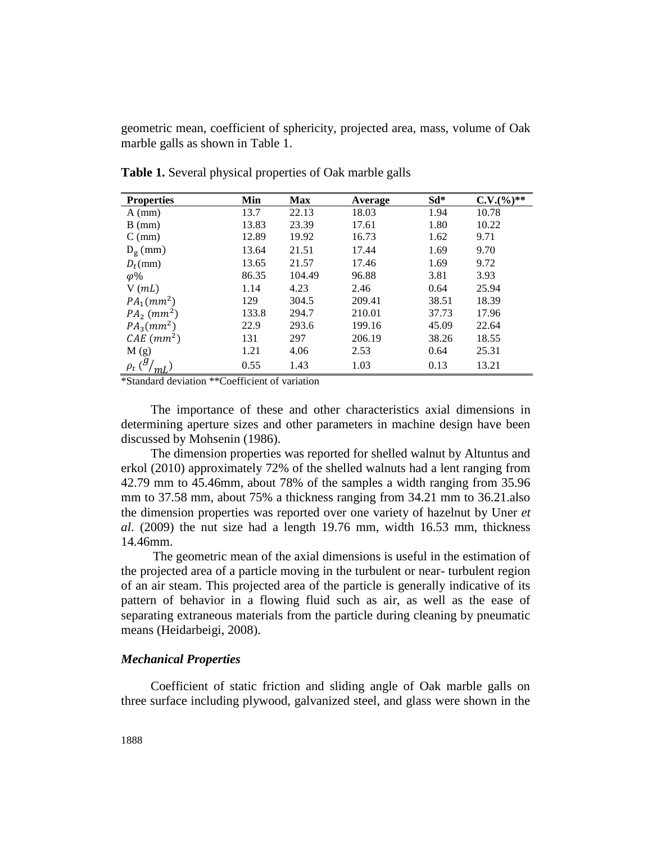geometric mean, coefficient of sphericity, projected area, mass, volume of Oak marble galls as shown in Table 1.

| <b>Properties</b>         | Min   | <b>Max</b> | Average | $Sd*$ | $C.V.(%)**$ |
|---------------------------|-------|------------|---------|-------|-------------|
| $A$ (mm)                  | 13.7  | 22.13      | 18.03   | 1.94  | 10.78       |
| $B$ (mm)                  | 13.83 | 23.39      | 17.61   | 1.80  | 10.22       |
| $C$ (mm)                  | 12.89 | 19.92      | 16.73   | 1.62  | 9.71        |
| $D_{\rm g}$ (mm)          | 13.64 | 21.51      | 17.44   | 1.69  | 9.70        |
| $D_t$ (mm)                | 13.65 | 21.57      | 17.46   | 1.69  | 9.72        |
| $\varphi\%$               | 86.35 | 104.49     | 96.88   | 3.81  | 3.93        |
| $V$ ( <i>mL</i> )         | 1.14  | 4.23       | 2.46    | 0.64  | 25.94       |
| $PA_1(mm^2)$              | 129   | 304.5      | 209.41  | 38.51 | 18.39       |
| $PA_2$ (mm <sup>2</sup> ) | 133.8 | 294.7      | 210.01  | 37.73 | 17.96       |
| $PA_3(mm^2)$              | 22.9  | 293.6      | 199.16  | 45.09 | 22.64       |
| $CAE$ (mm <sup>2</sup> )  | 131   | 297        | 206.19  | 38.26 | 18.55       |
| M(g)                      | 1.21  | 4.06       | 2.53    | 0.64  | 25.31       |
| $\rho_t$ (                | 0.55  | 1.43       | 1.03    | 0.13  | 13.21       |

**Table 1.** Several physical properties of Oak marble galls

\*Standard deviation \*\*Coefficient of variation

The importance of these and other characteristics axial dimensions in determining aperture sizes and other parameters in machine design have been discussed by Mohsenin (1986).

The dimension properties was reported for shelled walnut by Altuntus and erkol (2010) approximately 72% of the shelled walnuts had a lent ranging from 42.79 mm to 45.46mm, about 78% of the samples a width ranging from 35.96 mm to 37.58 mm, about 75% a thickness ranging from 34.21 mm to 36.21.also the dimension properties was reported over one variety of hazelnut by Uner *et al*. (2009) the nut size had a length 19.76 mm, width 16.53 mm, thickness 14.46mm.

The geometric mean of the axial dimensions is useful in the estimation of the projected area of a particle moving in the turbulent or near- turbulent region of an air steam. This projected area of the particle is generally indicative of its pattern of behavior in a flowing fluid such as air, as well as the ease of separating extraneous materials from the particle during cleaning by pneumatic means (Heidarbeigi, 2008).

## *Mechanical Properties*

Coefficient of static friction and sliding angle of Oak marble galls on three surface including plywood, galvanized steel, and glass were shown in the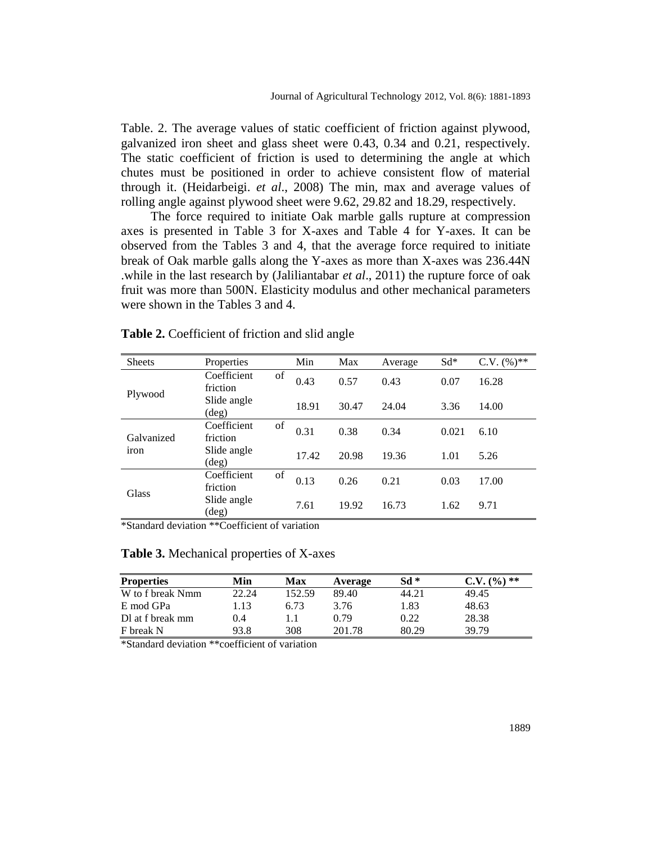Table. 2. The average values of static coefficient of friction against plywood, galvanized iron sheet and glass sheet were 0.43, 0.34 and 0.21, respectively. The static coefficient of friction is used to determining the angle at which chutes must be positioned in order to achieve consistent flow of material through it. (Heidarbeigi. *et al*., 2008) The min, max and average values of rolling angle against plywood sheet were 9.62, 29.82 and 18.29, respectively.

The force required to initiate Oak marble galls rupture at compression axes is presented in Table 3 for X-axes and Table 4 for Y-axes. It can be observed from the Tables 3 and 4, that the average force required to initiate break of Oak marble galls along the Y-axes as more than X-axes was 236.44N .while in the last research by (Jaliliantabar *et al*., 2011) the rupture force of oak fruit was more than 500N. Elasticity modulus and other mechanical parameters were shown in the Tables 3 and 4.

| <b>Sheets</b>      | Properties                    |    | Min   | Max   | Average | $Sd^*$ | $C.V. (\%)^{**}$ |
|--------------------|-------------------------------|----|-------|-------|---------|--------|------------------|
| Plywood            | Coefficient<br>friction       | of | 0.43  | 0.57  | 0.43    | 0.07   | 16.28            |
|                    | Slide angle<br>$(\text{deg})$ |    | 18.91 | 30.47 | 24.04   | 3.36   | 14.00            |
| Galvanized<br>iron | Coefficient<br>friction       | of | 0.31  | 0.38  | 0.34    | 0.021  | 6.10             |
|                    | Slide angle<br>$(\text{deg})$ |    | 17.42 | 20.98 | 19.36   | 1.01   | 5.26             |
| Glass              | Coefficient<br>friction       | of | 0.13  | 0.26  | 0.21    | 0.03   | 17.00            |
|                    | Slide angle<br>(deg)          |    | 7.61  | 19.92 | 16.73   | 1.62   | 9.71             |

**Table 2.** Coefficient of friction and slid angle

\*Standard deviation \*\*Coefficient of variation

| <b>Properties</b> | Min   | Max    | Average | Sd *  | ) **<br>$\frac{1}{2}$ |
|-------------------|-------|--------|---------|-------|-----------------------|
| W to f break Nmm  | 22.24 | 152.59 | 89.40   | 44.21 | 49.45                 |
| E mod GPa         | 1.13  | 6.73   | 3.76    | 1.83  | 48.63                 |
| Dl at f break mm  | 0.4   |        | 0.79    | 0.22  | 28.38                 |
| F break N         | 93.8  | 308    | 201.78  | 80.29 | 39.79                 |

\*Standard deviation \*\*coefficient of variation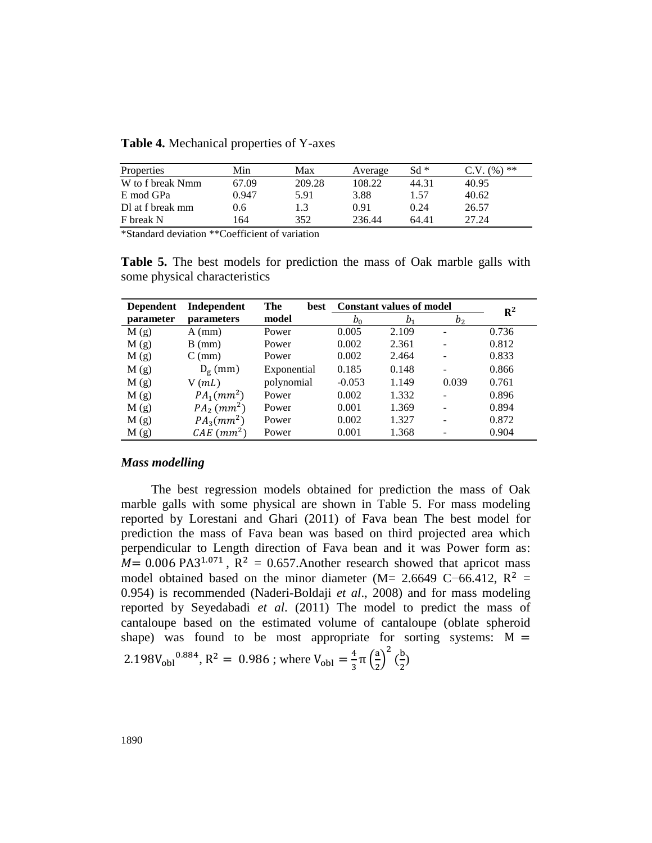**Table 4.** Mechanical properties of Y-axes

| Properties       | Min   | Max    | Average | $Sd *$ | , **<br>$\%$ |
|------------------|-------|--------|---------|--------|--------------|
| W to f break Nmm | 67.09 | 209.28 | 108.22  | 44.31  | 40.95        |
| E mod GPa        | 0.947 | 5.91   | 3.88    | 1.57   | 40.62        |
| Dl at f break mm | 9.6   |        | 0.91    | 0.24   | 26.57        |
| F break N        | 64    | 352    | 236.44  | 64.41  | 27.24        |

\*Standard deviation \*\*Coefficient of variation

**Table 5.** The best models for prediction the mass of Oak marble galls with some physical characteristics

| <b>Dependent</b> | Independent               | The<br>best | <b>Constant values of model</b> |         | $R^2$          |       |
|------------------|---------------------------|-------------|---------------------------------|---------|----------------|-------|
| parameter        | <i>parameters</i>         | model       | b <sub>0</sub>                  | $b_{1}$ | b <sub>2</sub> |       |
| M(g)             | $A$ (mm)                  | Power       | 0.005                           | 2.109   |                | 0.736 |
| M(g)             | $B$ (mm)                  | Power       | 0.002                           | 2.361   |                | 0.812 |
| M(g)             | $C$ (mm)                  | Power       | 0.002                           | 2.464   |                | 0.833 |
| M(g)             | $D_g$ (mm)                | Exponential | 0.185                           | 0.148   |                | 0.866 |
| M(g)             | $V$ ( <i>mL</i> )         | polynomial  | $-0.053$                        | 1.149   | 0.039          | 0.761 |
| M(g)             | $PA_1(mm^2)$              | Power       | 0.002                           | 1.332   |                | 0.896 |
| M(g)             | $PA_2$ (mm <sup>2</sup> ) | Power       | 0.001                           | 1.369   |                | 0.894 |
| M(g)             | $PA_3(mm^2)$              | Power       | 0.002                           | 1.327   |                | 0.872 |
| M(g)             | $CAE$ (mm <sup>2</sup> )  | Power       | 0.001                           | 1.368   |                | 0.904 |

#### *Mass modelling*

The best regression models obtained for prediction the mass of Oak marble galls with some physical are shown in Table 5. For mass modeling reported by Lorestani and Ghari (2011) of Fava bean The best model for prediction the mass of Fava bean was based on third projected area which perpendicular to Length direction of Fava bean and it was Power form as:  $M = 0.006 \text{ PA}3^{1.071}$ ,  $R^2 = 0.657$ . Another research showed that apricot mass model obtained based on the minor diameter (M= 2.6649 C−66.412,  $R^2$  = 0.954) is recommended (Naderi-Boldaji *et al*., 2008) and for mass modeling reported by Seyedabadi *et al*. (2011) The model to predict the mass of cantaloupe based on the estimated volume of cantaloupe (oblate spheroid shape) was found to be most appropriate for sorting systems:  $M =$ 2.198V<sub>obl</sub><sup>0.884</sup>, R<sup>2</sup> = 0.986; where V<sub>obl</sub> =  $\frac{4}{3}$  $\frac{4}{3}\pi\left(\frac{a}{2}\right)$  $\left(\frac{a}{2}\right)^2$   $\left(\frac{b}{2}\right)$  $\frac{1}{2}$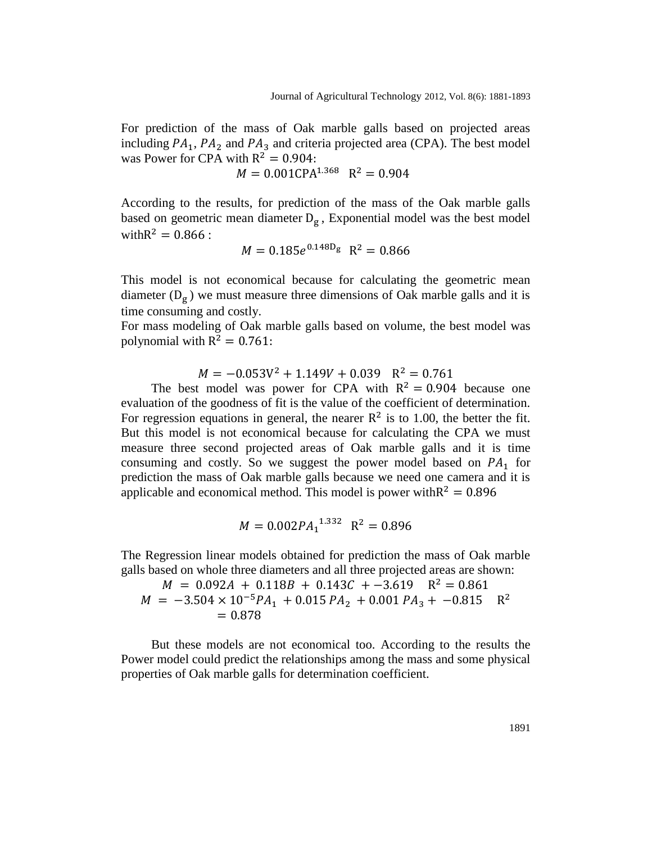For prediction of the mass of Oak marble galls based on projected areas including  $PA_1$ ,  $PA_2$  and  $PA_3$  and criteria projected area (CPA). The best model was Power for CPA with  $R^2$ 

 $M = 0.001 \text{CPA}^{1.368} \text{ R}^2$ 

According to the results, for prediction of the mass of the Oak marble galls based on geometric mean diameter  $D_g$ , Exponential model was the best model with  $R^2 = 0.866$ :

$$
M = 0.185e^{0.148D_g} R^2 = 0.866
$$

This model is not economical because for calculating the geometric mean diameter  $(D_g)$  we must measure three dimensions of Oak marble galls and it is time consuming and costly.

For mass modeling of Oak marble galls based on volume, the best model was polynomial with R<sup>2</sup>

$$
M = -0.053V^2 + 1.149V + 0.039 \quad R^2 = 0.761
$$

The best model was power for CPA with  $R^2 = 0.904$  because one evaluation of the goodness of fit is the value of the coefficient of determination. For regression equations in general, the nearer  $\mathbb{R}^2$  is to 1.00, the better the fit. But this model is not economical because for calculating the CPA we must measure three second projected areas of Oak marble galls and it is time consuming and costly. So we suggest the power model based on  $PA_1$  for prediction the mass of Oak marble galls because we need one camera and it is applicable and economical method. This model is power with  $R^2$ 

$$
M = 0.002PA_1^{1.332} \quad R^2 = 0.896
$$

The Regression linear models obtained for prediction the mass of Oak marble galls based on whole three diameters and all three projected areas are shown:

$$
M = 0.092A + 0.118B + 0.143C + -3.619 \quad R^2 = 0.861
$$
  

$$
M = -3.504 \times 10^{-5}PA_1 + 0.015 PA_2 + 0.001 PA_3 + -0.815 \quad R^2
$$
  

$$
= 0.878
$$

But these models are not economical too. According to the results the Power model could predict the relationships among the mass and some physical properties of Oak marble galls for determination coefficient.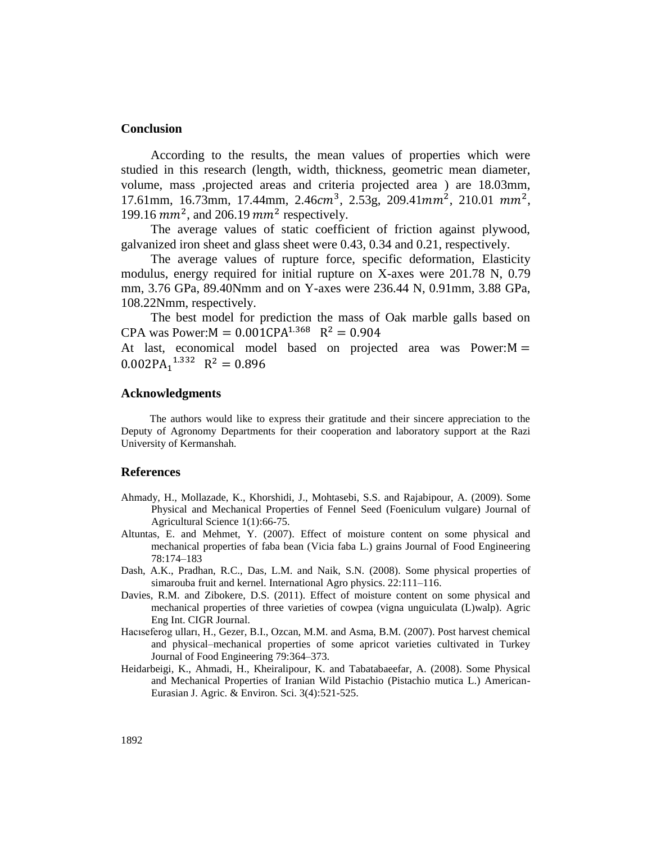#### **Conclusion**

According to the results, the mean values of properties which were studied in this research (length, width, thickness, geometric mean diameter, volume, mass ,projected areas and criteria projected area ) are 18.03mm, 17.61mm, 16.73mm, 17.44mm, 2.46 $cm^3$ , 2.53g, 209.41 $mm^2$ , 210.01  $mm^2$ , 199.16  $mm^2$ , and 206.19  $mm^2$  respectively.

The average values of static coefficient of friction against plywood, galvanized iron sheet and glass sheet were 0.43, 0.34 and 0.21, respectively.

The average values of rupture force, specific deformation, Elasticity modulus, energy required for initial rupture on X-axes were 201.78 N, 0.79 mm, 3.76 GPa, 89.40Nmm and on Y-axes were 236.44 N, 0.91mm, 3.88 GPa, 108.22Nmm, respectively.

The best model for prediction the mass of Oak marble galls based on CPA was Power: $M = 0.001$ CPA<sup>1.368</sup> R<sup>2</sup>

At last, economical model based on projected area was  $Power:M =$  $0.002PA<sub>1</sub><sup>1.332</sup> R<sup>2</sup>$ 

## **Acknowledgments**

The authors would like to express their gratitude and their sincere appreciation to the Deputy of Agronomy Departments for their cooperation and laboratory support at the Razi University of Kermanshah.

#### **References**

- Ahmady, H., Mollazade, K., Khorshidi, J., Mohtasebi, S.S. and Rajabipour, A. (2009). Some Physical and Mechanical Properties of Fennel Seed (Foeniculum vulgare) Journal of Agricultural Science 1(1):66-75.
- Altuntas, E. and Mehmet, Y. (2007). Effect of moisture content on some physical and mechanical properties of faba bean (Vicia faba L.) grains Journal of Food Engineering 78:174–183
- Dash, A.K., Pradhan, R.C., Das, L.M. and Naik, S.N. (2008). Some physical properties of simarouba fruit and kernel. International Agro physics. 22:111–116.
- Davies, R.M. and Zibokere, D.S. (2011). Effect of moisture content on some physical and mechanical properties of three varieties of cowpea (vigna unguiculata (L)walp). Agric Eng Int. CIGR Journal.
- Hacıseferog ulları, H., Gezer, B.I., Ozcan, M.M. and Asma, B.M. (2007). Post harvest chemical and physical–mechanical properties of some apricot varieties cultivated in Turkey Journal of Food Engineering 79:364–373.
- Heidarbeigi, K., Ahmadi, H., Kheiralipour, K. and Tabatabaeefar, A. (2008). Some Physical and Mechanical Properties of Iranian Wild Pistachio (Pistachio mutica L.) American-Eurasian J. Agric. & Environ. Sci. 3(4):521-525.